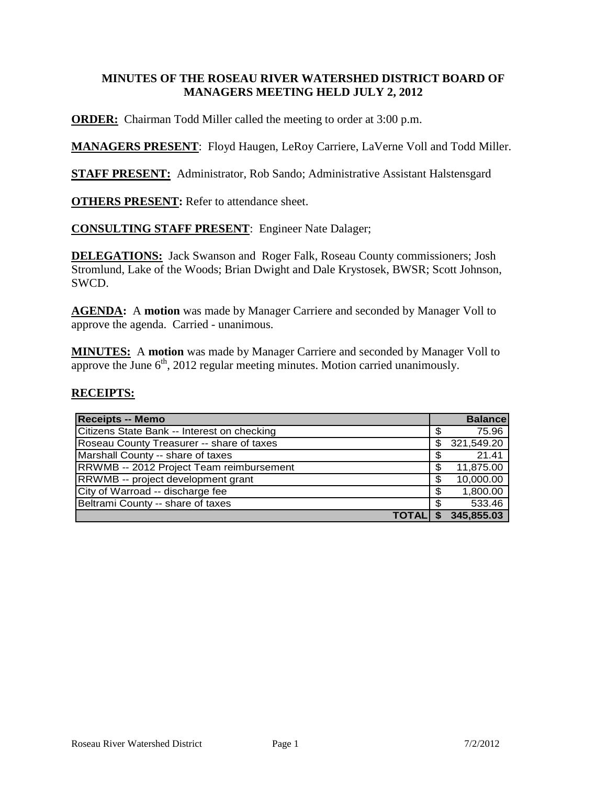## **MINUTES OF THE ROSEAU RIVER WATERSHED DISTRICT BOARD OF MANAGERS MEETING HELD JULY 2, 2012**

**ORDER:** Chairman Todd Miller called the meeting to order at 3:00 p.m.

**MANAGERS PRESENT**: Floyd Haugen, LeRoy Carriere, LaVerne Voll and Todd Miller.

**STAFF PRESENT:** Administrator, Rob Sando; Administrative Assistant Halstensgard

**OTHERS PRESENT:** Refer to attendance sheet.

### **CONSULTING STAFF PRESENT**: Engineer Nate Dalager;

**DELEGATIONS:** Jack Swanson and Roger Falk, Roseau County commissioners; Josh Stromlund, Lake of the Woods; Brian Dwight and Dale Krystosek, BWSR; Scott Johnson, SWCD.

**AGENDA:** A **motion** was made by Manager Carriere and seconded by Manager Voll to approve the agenda. Carried - unanimous.

**MINUTES:** A **motion** was made by Manager Carriere and seconded by Manager Voll to approve the June  $6<sup>th</sup>$ , 2012 regular meeting minutes. Motion carried unanimously.

#### **RECEIPTS:**

| <b>Receipts -- Memo</b>                     |    | <b>Balance</b> |
|---------------------------------------------|----|----------------|
| Citizens State Bank -- Interest on checking | \$ | 75.96          |
| Roseau County Treasurer -- share of taxes   | S  | 321,549.20     |
| Marshall County -- share of taxes           | \$ | 21.41          |
| RRWMB -- 2012 Project Team reimbursement    | S  | 11,875.00      |
| RRWMB -- project development grant          | \$ | 10,000.00      |
| City of Warroad -- discharge fee            | \$ | 1,800.00       |
| Beltrami County -- share of taxes           | S  | 533.46         |
| ΤΟΤΑΙ                                       |    | 345,855.03     |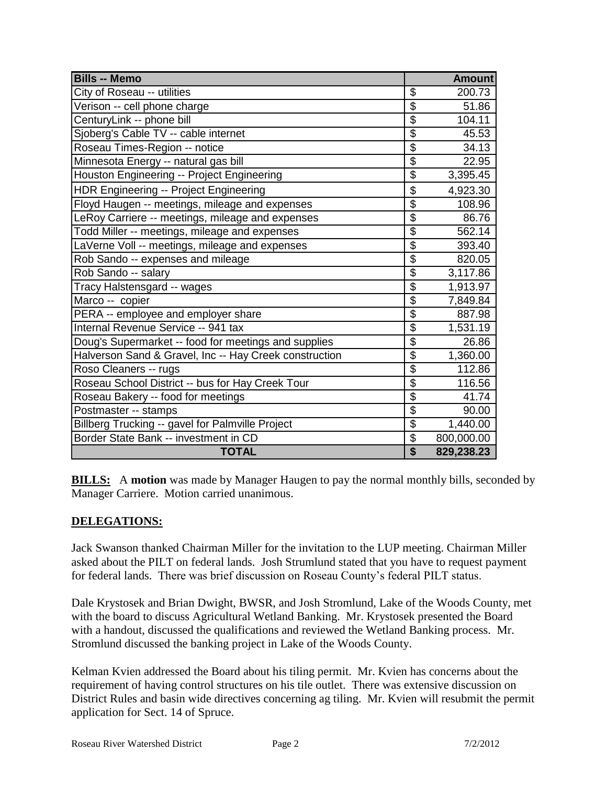| <b>Bills -- Memo</b>                                   |                           | <b>Amount</b> |
|--------------------------------------------------------|---------------------------|---------------|
| City of Roseau -- utilities                            | \$                        | 200.73        |
| Verison -- cell phone charge                           | \$                        | 51.86         |
| CenturyLink -- phone bill                              | $\overline{\$}$           | 104.11        |
| Sjoberg's Cable TV -- cable internet                   | $\overline{\mathfrak{s}}$ | 45.53         |
| Roseau Times-Region -- notice                          | $\overline{\$}$           | 34.13         |
| Minnesota Energy -- natural gas bill                   | $\overline{\$}$           | 22.95         |
| Houston Engineering -- Project Engineering             | $\overline{\$}$           | 3,395.45      |
| <b>HDR Engineering -- Project Engineering</b>          | \$                        | 4,923.30      |
| Floyd Haugen -- meetings, mileage and expenses         | $\overline{\$}$           | 108.96        |
| LeRoy Carriere -- meetings, mileage and expenses       | $\overline{\mathcal{S}}$  | 86.76         |
| Todd Miller -- meetings, mileage and expenses          | $\overline{\$}$           | 562.14        |
| LaVerne Voll -- meetings, mileage and expenses         | $\overline{\$}$           | 393.40        |
| Rob Sando -- expenses and mileage                      | $\overline{\$}$           | 820.05        |
| Rob Sando -- salary                                    | $\overline{\$}$           | 3,117.86      |
| Tracy Halstensgard -- wages                            | $\overline{\$}$           | 1,913.97      |
| Marco -- copier                                        | \$                        | 7,849.84      |
| PERA -- employee and employer share                    | $\overline{\$}$           | 887.98        |
| Internal Revenue Service -- 941 tax                    | $\overline{\$}$           | 1,531.19      |
| Doug's Supermarket -- food for meetings and supplies   | $\overline{\$}$           | 26.86         |
| Halverson Sand & Gravel, Inc -- Hay Creek construction | \$                        | 1,360.00      |
| Roso Cleaners -- rugs                                  | $\overline{\mathcal{S}}$  | 112.86        |
| Roseau School District -- bus for Hay Creek Tour       | $\overline{\mathcal{G}}$  | 116.56        |
| Roseau Bakery -- food for meetings                     | $\overline{\mathcal{G}}$  | 41.74         |
| Postmaster -- stamps                                   | $\overline{\mathcal{S}}$  | 90.00         |
| Billberg Trucking -- gavel for Palmville Project       | $\overline{\$}$           | 1,440.00      |
| Border State Bank -- investment in CD                  | \$                        | 800,000.00    |
| <b>TOTAL</b>                                           | $\overline{\$}$           | 829,238.23    |

**BILLS:** A **motion** was made by Manager Haugen to pay the normal monthly bills, seconded by Manager Carriere. Motion carried unanimous.

# **DELEGATIONS:**

Jack Swanson thanked Chairman Miller for the invitation to the LUP meeting. Chairman Miller asked about the PILT on federal lands. Josh Strumlund stated that you have to request payment for federal lands. There was brief discussion on Roseau County's federal PILT status.

Dale Krystosek and Brian Dwight, BWSR, and Josh Stromlund, Lake of the Woods County, met with the board to discuss Agricultural Wetland Banking. Mr. Krystosek presented the Board with a handout, discussed the qualifications and reviewed the Wetland Banking process. Mr. Stromlund discussed the banking project in Lake of the Woods County.

Kelman Kvien addressed the Board about his tiling permit. Mr. Kvien has concerns about the requirement of having control structures on his tile outlet. There was extensive discussion on District Rules and basin wide directives concerning ag tiling. Mr. Kvien will resubmit the permit application for Sect. 14 of Spruce.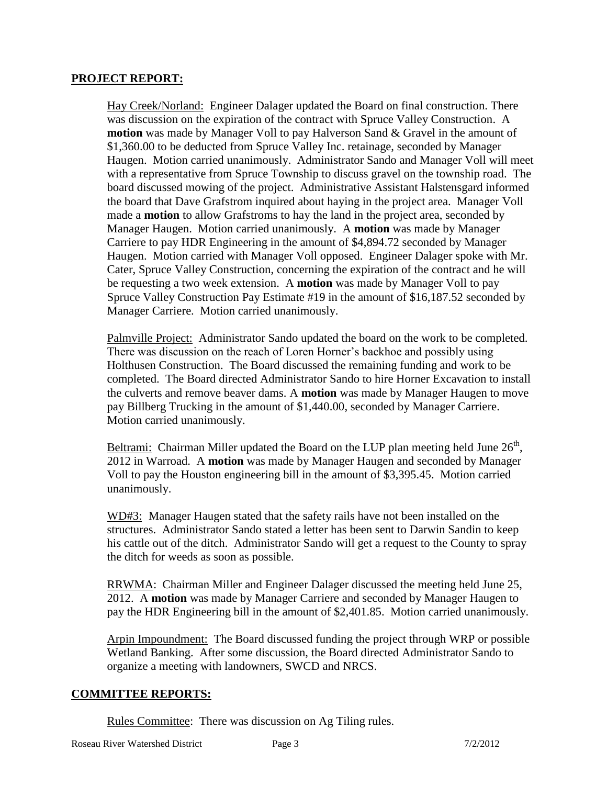#### **PROJECT REPORT:**

Hay Creek/Norland: Engineer Dalager updated the Board on final construction. There was discussion on the expiration of the contract with Spruce Valley Construction. A **motion** was made by Manager Voll to pay Halverson Sand & Gravel in the amount of \$1,360.00 to be deducted from Spruce Valley Inc. retainage, seconded by Manager Haugen. Motion carried unanimously. Administrator Sando and Manager Voll will meet with a representative from Spruce Township to discuss gravel on the township road. The board discussed mowing of the project. Administrative Assistant Halstensgard informed the board that Dave Grafstrom inquired about haying in the project area. Manager Voll made a **motion** to allow Grafstroms to hay the land in the project area, seconded by Manager Haugen. Motion carried unanimously. A **motion** was made by Manager Carriere to pay HDR Engineering in the amount of \$4,894.72 seconded by Manager Haugen. Motion carried with Manager Voll opposed. Engineer Dalager spoke with Mr. Cater, Spruce Valley Construction, concerning the expiration of the contract and he will be requesting a two week extension. A **motion** was made by Manager Voll to pay Spruce Valley Construction Pay Estimate #19 in the amount of \$16,187.52 seconded by Manager Carriere. Motion carried unanimously.

Palmville Project: Administrator Sando updated the board on the work to be completed. There was discussion on the reach of Loren Horner's backhoe and possibly using Holthusen Construction. The Board discussed the remaining funding and work to be completed. The Board directed Administrator Sando to hire Horner Excavation to install the culverts and remove beaver dams. A **motion** was made by Manager Haugen to move pay Billberg Trucking in the amount of \$1,440.00, seconded by Manager Carriere. Motion carried unanimously.

Beltrami: Chairman Miller updated the Board on the LUP plan meeting held June  $26<sup>th</sup>$ , 2012 in Warroad. A **motion** was made by Manager Haugen and seconded by Manager Voll to pay the Houston engineering bill in the amount of \$3,395.45. Motion carried unanimously.

WD#3: Manager Haugen stated that the safety rails have not been installed on the structures. Administrator Sando stated a letter has been sent to Darwin Sandin to keep his cattle out of the ditch. Administrator Sando will get a request to the County to spray the ditch for weeds as soon as possible.

RRWMA: Chairman Miller and Engineer Dalager discussed the meeting held June 25, 2012. A **motion** was made by Manager Carriere and seconded by Manager Haugen to pay the HDR Engineering bill in the amount of \$2,401.85. Motion carried unanimously.

Arpin Impoundment: The Board discussed funding the project through WRP or possible Wetland Banking. After some discussion, the Board directed Administrator Sando to organize a meeting with landowners, SWCD and NRCS.

#### **COMMITTEE REPORTS:**

Rules Committee: There was discussion on Ag Tiling rules.